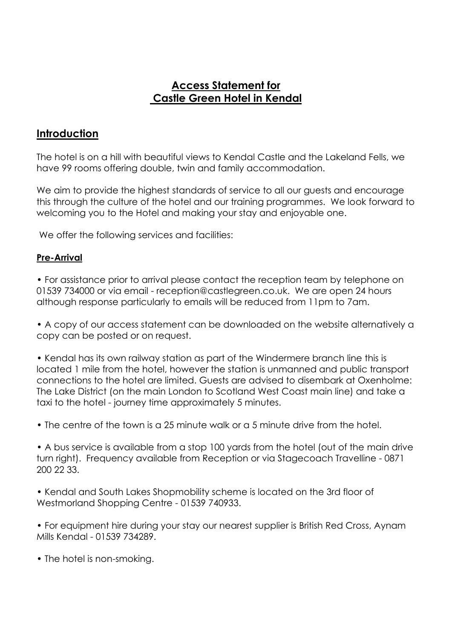## **Access Statement for Castle Green Hotel in Kendal**

#### **Introduction**

The hotel is on a hill with beautiful views to Kendal Castle and the Lakeland Fells, we have 99 rooms offering double, twin and family accommodation.

We aim to provide the highest standards of service to all our guests and encourage this through the culture of the hotel and our training programmes. We look forward to welcoming you to the Hotel and making your stay and enjoyable one.

We offer the following services and facilities:

#### **Pre-Arrival**

• For assistance prior to arrival please contact the reception team by telephone on 01539 734000 or via email - reception@castlegreen.co.uk. We are open 24 hours although response particularly to emails will be reduced from 11pm to 7am.

• A copy of our access statement can be downloaded on the website alternatively a copy can be posted or on request.

• Kendal has its own railway station as part of the Windermere branch line this is located 1 mile from the hotel, however the station is unmanned and public transport connections to the hotel are limited. Guests are advised to disembark at Oxenholme: The Lake District (on the main London to Scotland West Coast main line) and take a taxi to the hotel - journey time approximately 5 minutes.

• The centre of the town is a 25 minute walk or a 5 minute drive from the hotel.

• A bus service is available from a stop 100 yards from the hotel (out of the main drive turn right). Frequency available from Reception or via Stagecoach Travelline - 0871 200 22 33.

• Kendal and South Lakes Shopmobility scheme is located on the 3rd floor of Westmorland Shopping Centre - 01539 740933.

• For equipment hire during your stay our nearest supplier is British Red Cross, Aynam Mills Kendal - 01539 734289.

• The hotel is non-smoking.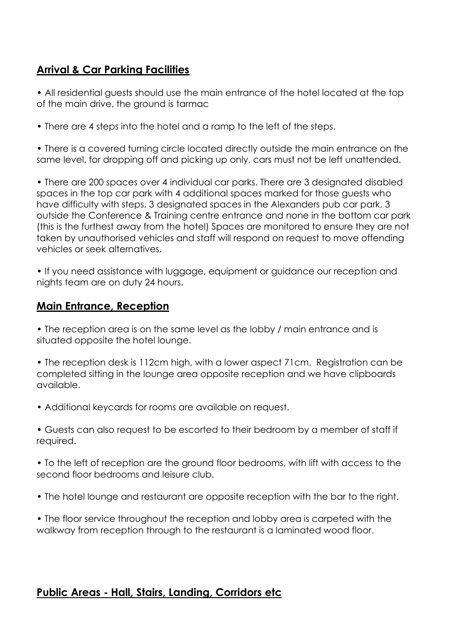# **Arrival & Car Parking Facilities**

• All residential guests should use the main entrance of the hotel located at the top of the main drive, the ground is tarmac

• There are 4 steps into the hotel and a ramp to the left of the steps.

• There is a covered turning circle located directly outside the main entrance on the same level, for dropping off and picking up only, cars must not be left unattended.

• There are 200 spaces over 4 individual car parks. There are 3 designated disabled spaces in the top car park with 4 additional spaces marked for those guests who have difficulty with steps, 3 designated spaces in the Alexanders pub car park, 3 outside the Conference & Training centre entrance and none in the bottom car park (this is the furthest away from the hotel) Spaces are monitored to ensure they are not taken by unauthorised vehicles and staff will respond on request to move offending vehicles or seek alternatives.

• If you need assistance with luggage, equipment or guidance our reception and nights team are on duty 24 hours.

## **Main Entrance, Reception**

• The reception area is on the same level as the lobby / main entrance and is situated opposite the hotel lounge.

• The reception desk is 112cm high, with a lower aspect 71cm. Registration can be completed sitting in the lounge area opposite reception and we have clipboards available.

- Additional keycards for rooms are available on request.
- Guests can also request to be escorted to their bedroom by a member of staff if required.

• To the left of reception are the ground floor bedrooms, with lift with access to the second floor bedrooms and leisure club.

- The hotel lounge and restaurant are opposite reception with the bar to the right.
- The floor service throughout the reception and lobby area is carpeted with the walkway from reception through to the restaurant is a laminated wood floor.

# **Public Areas - Hall, Stairs, Landing, Corridors etc**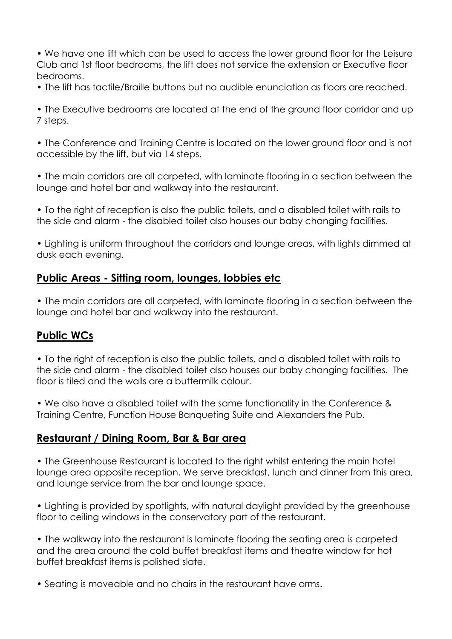• We have one lift which can be used to access the lower ground floor for the Leisure Club and 1st floor bedrooms, the lift does not service the extension or Executive floor bedrooms.

• The lift has tactile/Braille buttons but no audible enunciation as floors are reached.

• The Executive bedrooms are located at the end of the ground floor corridor and up 7 steps.

• The Conference and Training Centre is located on the lower ground floor and is not accessible by the lift, but via 14 steps.

• The main corridors are all carpeted, with laminate flooring in a section between the lounge and hotel bar and walkway into the restaurant.

• To the right of reception is also the public toilets, and a disabled toilet with rails to the side and alarm - the disabled toilet also houses our baby changing facilities.

• Lighting is uniform throughout the corridors and lounge areas, with lights dimmed at dusk each evening.

# **Public Areas - Sitting room, lounges, lobbies etc**

• The main corridors are all carpeted, with laminate flooring in a section between the lounge and hotel bar and walkway into the restaurant.

# **Public WCs**

• To the right of reception is also the public toilets, and a disabled toilet with rails to the side and alarm - the disabled toilet also houses our baby changing facilities. The floor is tiled and the walls are a buttermilk colour.

• We also have a disabled toilet with the same functionality in the Conference & Training Centre, Function House Banqueting Suite and Alexanders the Pub.

### **Restaurant / Dining Room, Bar & Bar area**

• The Greenhouse Restaurant is located to the right whilst entering the main hotel lounge area opposite reception. We serve breakfast, lunch and dinner from this area, and lounge service from the bar and lounge space.

• Lighting is provided by spotlights, with natural daylight provided by the greenhouse floor to ceiling windows in the conservatory part of the restaurant.

• The walkway into the restaurant is laminate flooring the seating area is carpeted and the area around the cold buffet breakfast items and theatre window for hot buffet breakfast items is polished slate.

• Seating is moveable and no chairs in the restaurant have arms.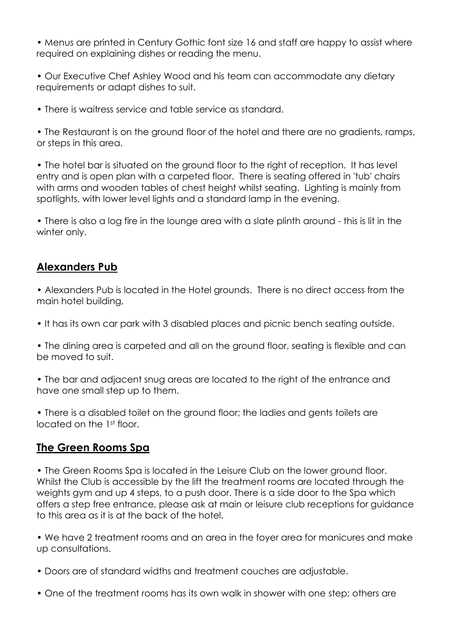• Menus are printed in Century Gothic font size 16 and staff are happy to assist where required on explaining dishes or reading the menu.

• Our Executive Chef Ashley Wood and his team can accommodate any dietary requirements or adapt dishes to suit.

• There is waitress service and table service as standard.

• The Restaurant is on the ground floor of the hotel and there are no gradients, ramps, or steps in this area.

• The hotel bar is situated on the ground floor to the right of reception. It has level entry and is open plan with a carpeted floor. There is seating offered in 'tub' chairs with arms and wooden tables of chest height whilst seating. Lighting is mainly from spotlights, with lower level lights and a standard lamp in the evening.

• There is also a loa fire in the lounge area with a slate plinth around - this is lit in the winter only.

### **Alexanders Pub**

• Alexanders Pub is located in the Hotel grounds. There is no direct access from the main hotel building.

• It has its own car park with 3 disabled places and picnic bench seating outside.

• The dining area is carpeted and all on the ground floor, seating is flexible and can be moved to suit.

• The bar and adjacent snug areas are located to the right of the entrance and have one small step up to them.

• There is a disabled toilet on the ground floor; the ladies and gents toilets are located on the 1st floor.

# **The Green Rooms Spa**

• The Green Rooms Spa is located in the Leisure Club on the lower ground floor. Whilst the Club is accessible by the lift the treatment rooms are located through the weights gym and up 4 steps, to a push door. There is a side door to the Spa which offers a step free entrance, please ask at main or leisure club receptions for guidance to this area as it is at the back of the hotel.

• We have 2 treatment rooms and an area in the foyer area for manicures and make up consultations.

- Doors are of standard widths and treatment couches are adjustable.
- One of the treatment rooms has its own walk in shower with one step; others are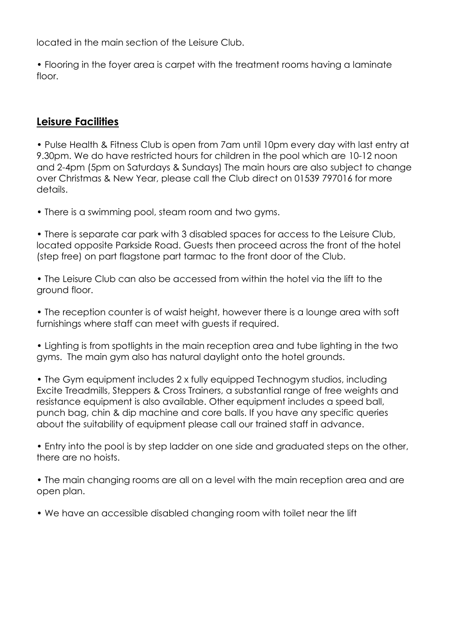located in the main section of the Leisure Club.

• Flooring in the foyer area is carpet with the treatment rooms having a laminate floor.

## **Leisure Facilities**

• Pulse Health & Fitness Club is open from 7am until 10pm every day with last entry at 9.30pm. We do have restricted hours for children in the pool which are 10-12 noon and 2-4pm (5pm on Saturdays & Sundays) The main hours are also subject to change over Christmas & New Year, please call the Club direct on 01539 797016 for more details.

• There is a swimming pool, steam room and two gyms.

• There is separate car park with 3 disabled spaces for access to the Leisure Club, located opposite Parkside Road. Guests then proceed across the front of the hotel (step free) on part flagstone part tarmac to the front door of the Club.

• The Leisure Club can also be accessed from within the hotel via the lift to the ground floor.

• The reception counter is of waist height, however there is a lounge area with soft furnishings where staff can meet with guests if required.

• Lighting is from spotlights in the main reception area and tube lighting in the two gyms. The main gym also has natural daylight onto the hotel grounds.

• The Gym equipment includes 2 x fully equipped Technogym studios, including Excite Treadmills, Steppers & Cross Trainers, a substantial range of free weights and resistance equipment is also available. Other equipment includes a speed ball, punch bag, chin & dip machine and core balls. If you have any specific queries about the suitability of equipment please call our trained staff in advance.

• Entry into the pool is by step ladder on one side and graduated steps on the other, there are no hoists.

• The main changing rooms are all on a level with the main reception area and are open plan.

• We have an accessible disabled changing room with toilet near the lift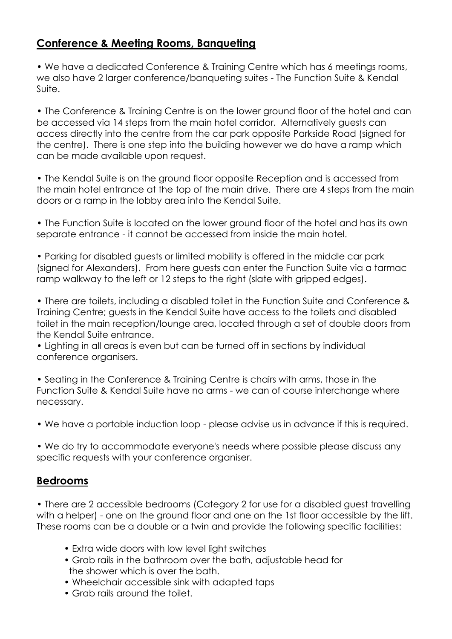# **Conference & Meeting Rooms, Banqueting**

• We have a dedicated Conference & Training Centre which has 6 meetings rooms, we also have 2 larger conference/banqueting suites - The Function Suite & Kendal Suite.

• The Conference & Training Centre is on the lower ground floor of the hotel and can be accessed via 14 steps from the main hotel corridor. Alternatively guests can access directly into the centre from the car park opposite Parkside Road (signed for the centre). There is one step into the building however we do have a ramp which can be made available upon request.

• The Kendal Suite is on the ground floor opposite Reception and is accessed from the main hotel entrance at the top of the main drive. There are 4 steps from the main doors or a ramp in the lobby area into the Kendal Suite.

• The Function Suite is located on the lower ground floor of the hotel and has its own separate entrance - it cannot be accessed from inside the main hotel.

• Parking for disabled guests or limited mobility is offered in the middle car park (signed for Alexanders). From here guests can enter the Function Suite via a tarmac ramp walkway to the left or 12 steps to the right (slate with gripped edges).

• There are toilets, including a disabled toilet in the Function Suite and Conference & Training Centre; guests in the Kendal Suite have access to the toilets and disabled toilet in the main reception/lounge area, located through a set of double doors from the Kendal Suite entrance.

• Lighting in all areas is even but can be turned off in sections by individual conference organisers.

• Seating in the Conference & Training Centre is chairs with arms, those in the Function Suite & Kendal Suite have no arms - we can of course interchange where necessary.

• We have a portable induction loop - please advise us in advance if this is required.

• We do try to accommodate everyone's needs where possible please discuss any specific requests with your conference organiser.

# **Bedrooms**

• There are 2 accessible bedrooms (Category 2 for use for a disabled guest travelling with a helper) - one on the ground floor and one on the 1st floor accessible by the lift. These rooms can be a double or a twin and provide the following specific facilities:

- Extra wide doors with low level light switches
- Grab rails in the bathroom over the bath, adjustable head for the shower which is over the bath.
- Wheelchair accessible sink with adapted taps
- Grab rails around the toilet.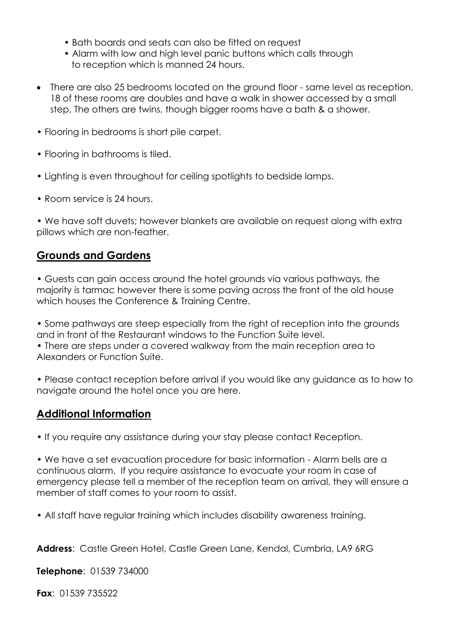- Bath boards and seats can also be fitted on request
- Alarm with low and high level panic buttons which calls through to reception which is manned 24 hours.
- There are also 25 bedrooms located on the ground floor same level as reception. 18 of these rooms are doubles and have a walk in shower accessed by a small step. The others are twins, though bigger rooms have a bath & a shower.
- Flooring in bedrooms is short pile carpet.
- Flooring in bathrooms is tiled.
- Lighting is even throughout for ceiling spotlights to bedside lamps.
- Room service is 24 hours.

• We have soft duvets; however blankets are available on reauest alona with extra pillows which are non-feather.

## **Grounds and Gardens**

• Guests can gain access around the hotel grounds via various pathways, the majority is tarmac however there is some paving across the front of the old house which houses the Conference & Training Centre.

• Some pathways are steep especially from the right of reception into the grounds and in front of the Restaurant windows to the Function Suite level.

• There are steps under a covered walkway from the main reception area to Alexanders or Function Suite.

• Please contact reception before arrival if you would like any guidance as to how to navigate around the hotel once you are here.

### **Additional Information**

• If you require any assistance during your stay please contact Reception.

• We have a set evacuation procedure for basic information - Alarm bells are a continuous alarm. If you require assistance to evacuate your room in case of emergency please tell a member of the reception team on arrival, they will ensure a member of staff comes to your room to assist.

• All staff have regular training which includes disability awareness training.

**Address**: Castle Green Hotel, Castle Green Lane, Kendal, Cumbria, LA9 6RG

**Telephone**: 01539 734000

**Fax**: 01539 735522